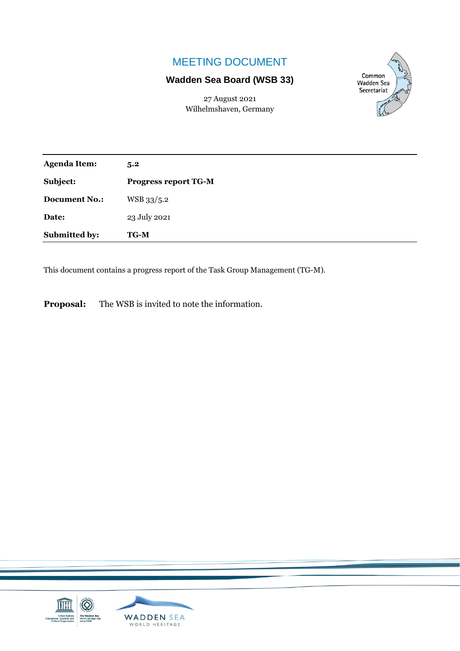# MEETING DOCUMENT

# **Wadden Sea Board (WSB 33)**

27 August 2021 Wilhelmshaven, Germany



| <b>Agenda Item:</b>  | 5.2                         |
|----------------------|-----------------------------|
| Subject:             | <b>Progress report TG-M</b> |
| <b>Document No.:</b> | WSB 33/5.2                  |
| Date:                | 23 July 2021                |
| Submitted by:        | <b>TG-M</b>                 |

This document contains a progress report of the Task Group Management (TG-M).

**Proposal:** The WSB is invited to note the information.

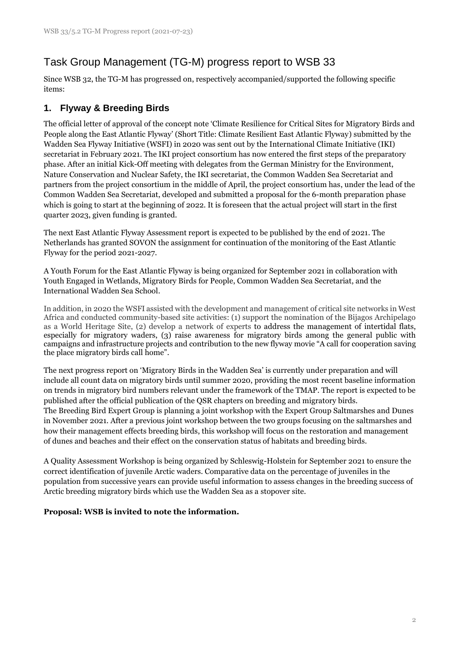# Task Group Management (TG-M) progress report to WSB 33

Since WSB 32, the TG-M has progressed on, respectively accompanied/supported the following specific items:

# **1. Flyway & Breeding Birds**

The official letter of approval of the concept note 'Climate Resilience for Critical Sites for Migratory Birds and People along the East Atlantic Flyway' (Short Title: Climate Resilient East Atlantic Flyway) submitted by the Wadden Sea Flyway Initiative (WSFI) in 2020 was sent out by the International Climate Initiative (IKI) secretariat in February 2021. The IKI project consortium has now entered the first steps of the preparatory phase. After an initial Kick-Off meeting with delegates from the German Ministry for the Environment, Nature Conservation and Nuclear Safety, the IKI secretariat, the Common Wadden Sea Secretariat and partners from the project consortium in the middle of April, the project consortium has, under the lead of the Common Wadden Sea Secretariat, developed and submitted a proposal for the 6-month preparation phase which is going to start at the beginning of 2022. It is foreseen that the actual project will start in the first quarter 2023, given funding is granted.

The next East Atlantic Flyway Assessment report is expected to be published by the end of 2021. The Netherlands has granted SOVON the assignment for continuation of the monitoring of the East Atlantic Flyway for the period 2021-2027.

A Youth Forum for the East Atlantic Flyway is being organized for September 2021 in collaboration with Youth Engaged in Wetlands, Migratory Birds for People, Common Wadden Sea Secretariat, and the International Wadden Sea School.

In addition, in 2020 the WSFI assisted with the development and management of critical site networks in West Africa and conducted community-based site activities: (1) support the nomination of the Bijagos Archipelago as a World Heritage Site, (2) develop a network of experts to address the management of intertidal flats, especially for migratory waders, (3) raise awareness for migratory birds among the general public with campaigns and infrastructure projects and contribution to the new flyway movie "A call for cooperation saving the place migratory birds call home".

The next progress report on 'Migratory Birds in the Wadden Sea' is currently under preparation and will include all count data on migratory birds until summer 2020, providing the most recent baseline information on trends in migratory bird numbers relevant under the framework of the TMAP. The report is expected to be published after the official publication of the QSR chapters on breeding and migratory birds. The Breeding Bird Expert Group is planning a joint workshop with the Expert Group Saltmarshes and Dunes in November 2021. After a previous joint workshop between the two groups focusing on the saltmarshes and how their management effects breeding birds, this workshop will focus on the restoration and management of dunes and beaches and their effect on the conservation status of habitats and breeding birds.

A Quality Assessment Workshop is being organized by Schleswig-Holstein for September 2021 to ensure the correct identification of juvenile Arctic waders. Comparative data on the percentage of juveniles in the population from successive years can provide useful information to assess changes in the breeding success of Arctic breeding migratory birds which use the Wadden Sea as a stopover site.

# **Proposal: WSB is invited to note the information.**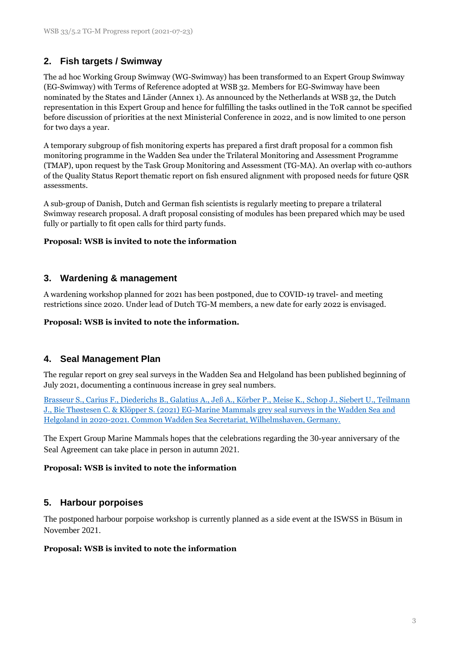# **2. Fish targets / Swimway**

The ad hoc Working Group Swimway (WG-Swimway) has been transformed to an Expert Group Swimway (EG-Swimway) with Terms of Reference adopted at WSB 32. Members for EG-Swimway have been nominated by the States and Länder (Annex 1). As announced by the Netherlands at WSB 32, the Dutch representation in this Expert Group and hence for fulfilling the tasks outlined in the ToR cannot be specified before discussion of priorities at the next Ministerial Conference in 2022, and is now limited to one person for two days a year.

A temporary subgroup of fish monitoring experts has prepared a first draft proposal for a common fish monitoring programme in the Wadden Sea under the Trilateral Monitoring and Assessment Programme (TMAP), upon request by the Task Group Monitoring and Assessment (TG-MA). An overlap with co-authors of the Quality Status Report thematic report on fish ensured alignment with proposed needs for future QSR assessments.

A sub-group of Danish, Dutch and German fish scientists is regularly meeting to prepare a trilateral Swimway research proposal. A draft proposal consisting of modules has been prepared which may be used fully or partially to fit open calls for third party funds.

### **Proposal: WSB is invited to note the information**

# **3. Wardening & management**

A wardening workshop planned for 2021 has been postponed, due to COVID-19 travel- and meeting restrictions since 2020. Under lead of Dutch TG-M members, a new date for early 2022 is envisaged.

#### **Proposal: WSB is invited to note the information.**

# **4. Seal Management Plan**

The regular report on grey seal surveys in the Wadden Sea and Helgoland has been published beginning of July 2021, documenting a continuous increase in grey seal numbers.

[Brasseur S., Carius F., Diederichs B., Galatius A., Jeß A., Körber P., Meise K.,](https://www.waddensea-worldheritage.org/sites/default/files/Wadden%20Sea_Grey_Seal_Report_2021_0.pdf) Schop J., Siebert U., Teilmann [J., Bie Thøstesen C. & Klöpper S. \(2021\) EG-Marine Mammals grey seal surveys in the Wadden Sea and](https://www.waddensea-worldheritage.org/sites/default/files/Wadden%20Sea_Grey_Seal_Report_2021_0.pdf)  [Helgoland in 2020-2021. Common Wadden Sea Secretariat, Wilhelmshaven, Germany.](https://www.waddensea-worldheritage.org/sites/default/files/Wadden%20Sea_Grey_Seal_Report_2021_0.pdf)

The Expert Group Marine Mammals hopes that the celebrations regarding the 30-year anniversary of the Seal Agreement can take place in person in autumn 2021.

### **Proposal: WSB is invited to note the information**

### **5. Harbour porpoises**

The postponed harbour porpoise workshop is currently planned as a side event at the ISWSS in Büsum in November 2021.

#### **Proposal: WSB is invited to note the information**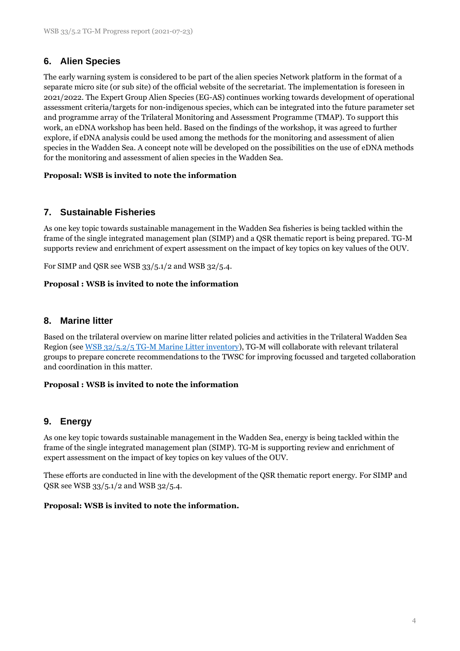# **6. Alien Species**

The early warning system is considered to be part of the alien species Network platform in the format of a separate micro site (or sub site) of the official website of the secretariat. The implementation is foreseen in 2021/2022. The Expert Group Alien Species (EG-AS) continues working towards development of operational assessment criteria/targets for non-indigenous species, which can be integrated into the future parameter set and programme array of the Trilateral Monitoring and Assessment Programme (TMAP). To support this work, an eDNA workshop has been held. Based on the findings of the workshop, it was agreed to further explore, if eDNA analysis could be used among the methods for the monitoring and assessment of alien species in the Wadden Sea. A concept note will be developed on the possibilities on the use of eDNA methods for the monitoring and assessment of alien species in the Wadden Sea.

### **Proposal: WSB is invited to note the information**

# **7. Sustainable Fisheries**

As one key topic towards sustainable management in the Wadden Sea fisheries is being tackled within the frame of the single integrated management plan (SIMP) and a QSR thematic report is being prepared. TG-M supports review and enrichment of expert assessment on the impact of key topics on key values of the OUV.

For SIMP and QSR see WSB 33/5.1/2 and WSB 32/5.4.

### **Proposal : WSB is invited to note the information**

### **8. Marine litter**

Based on the trilateral overview on marine litter related policies and activities in the Trilateral Wadden Sea Region (see [WSB 32/5.2/5 TG-M Marine Litter inventory\)](https://www.waddensea-worldheritage.org/system/files/WSB-32-5-2-5-tg%20m%20marine%20litter.pdf), TG-M will collaborate with relevant trilateral groups to prepare concrete recommendations to the TWSC for improving focussed and targeted collaboration and coordination in this matter.

### **Proposal : WSB is invited to note the information**

# **9. Energy**

As one key topic towards sustainable management in the Wadden Sea, energy is being tackled within the frame of the single integrated management plan (SIMP). TG-M is supporting review and enrichment of expert assessment on the impact of key topics on key values of the OUV.

These efforts are conducted in line with the development of the QSR thematic report energy. For SIMP and QSR see WSB 33/5.1/2 and WSB 32/5.4.

#### **Proposal: WSB is invited to note the information.**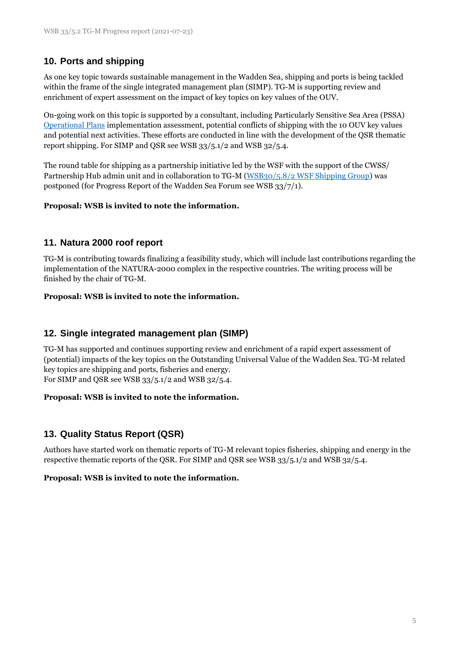# **10. Ports and shipping**

As one key topic towards sustainable management in the Wadden Sea, shipping and ports is being tackled within the frame of the single integrated management plan (SIMP). TG-M is supporting review and enrichment of expert assessment on the impact of key topics on key values of the OUV.

On-going work on this topic is supported by a consultant, including Particularly Sensitive Sea Area (PSSA) [Operational Plans](https://www.waddensea-worldheritage.org/resources/pssa-wadden-sea-operational-plans) implementation assessment, potential conflicts of shipping with the 10 OUV key values and potential next activities. These efforts are conducted in line with the development of the QSR thematic report shipping. For SIMP and QSR see WSB 33/5.1/2 and WSB 32/5.4.

The round table for shipping as a partnership initiative led by the WSF with the support of the CWSS/ Partnership Hub admin unit and in collaboration to TG-M [\(WSB30/5.8/2 WSF Shipping Group\)](https://www.waddensea-worldheritage.org/sites/default/files/WSB30%205.8-2%20ws%20shipping%20group.pdf) was postponed (for Progress Report of the Wadden Sea Forum see WSB 33/7/1).

### **Proposal: WSB is invited to note the information.**

# **11. Natura 2000 roof report**

TG-M is contributing towards finalizing a feasibility study, which will include last contributions regarding the implementation of the NATURA-2000 complex in the respective countries. The writing process will be finished by the chair of TG-M.

### **Proposal: WSB is invited to note the information.**

# **12. Single integrated management plan (SIMP)**

TG-M has supported and continues supporting review and enrichment of a rapid expert assessment of (potential) impacts of the key topics on the Outstanding Universal Value of the Wadden Sea. TG-M related key topics are shipping and ports, fisheries and energy. For SIMP and QSR see WSB 33/5.1/2 and WSB 32/5.4.

### **Proposal: WSB is invited to note the information.**

# **13. Quality Status Report (QSR)**

Authors have started work on thematic reports of TG-M relevant topics fisheries, shipping and energy in the respective thematic reports of the QSR. For SIMP and QSR see WSB 33/5.1/2 and WSB 32/5.4.

### **Proposal: WSB is invited to note the information.**